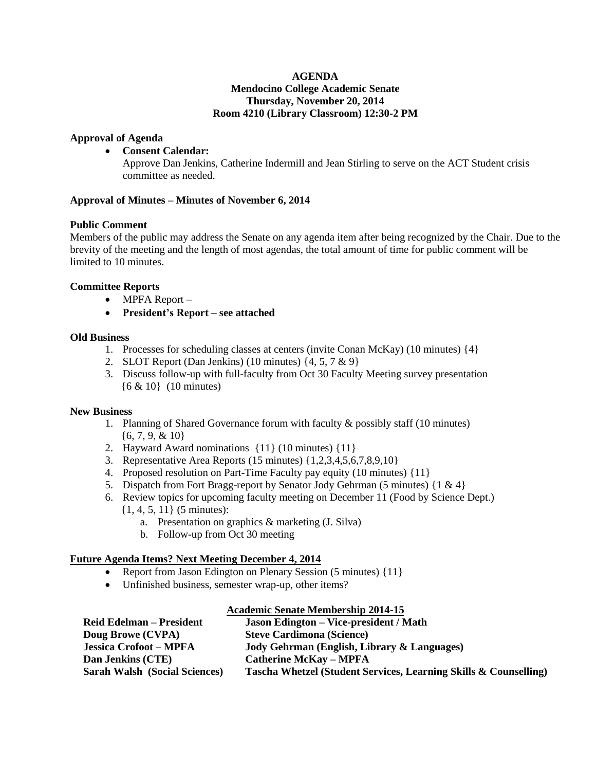#### **AGENDA Mendocino College Academic Senate Thursday, November 20, 2014 Room 4210 (Library Classroom) 12:30-2 PM**

#### **Approval of Agenda**

#### **Consent Calendar:**

Approve Dan Jenkins, Catherine Indermill and Jean Stirling to serve on the ACT Student crisis committee as needed.

#### **Approval of Minutes – Minutes of November 6, 2014**

#### **Public Comment**

Members of the public may address the Senate on any agenda item after being recognized by the Chair. Due to the brevity of the meeting and the length of most agendas, the total amount of time for public comment will be limited to 10 minutes.

#### **Committee Reports**

- MPFA Report –
- **President's Report – see attached**

#### **Old Business**

- 1. Processes for scheduling classes at centers (invite Conan McKay) (10 minutes) {4}
- 2. SLOT Report (Dan Jenkins) (10 minutes)  $\{4, 5, 7 \& 9\}$
- 3. Discuss follow-up with full-faculty from Oct 30 Faculty Meeting survey presentation {6 & 10} (10 minutes)

#### **New Business**

- 1. Planning of Shared Governance forum with faculty & possibly staff (10 minutes) {6, 7, 9, & 10}
- 2. Hayward Award nominations {11} (10 minutes) {11}
- 3. Representative Area Reports (15 minutes) {1,2,3,4,5,6,7,8,9,10}
- 4. Proposed resolution on Part-Time Faculty pay equity (10 minutes) {11}
- 5. Dispatch from Fort Bragg-report by Senator Jody Gehrman (5 minutes) {1 & 4}
- 6. Review topics for upcoming faculty meeting on December 11 (Food by Science Dept.) {1, 4, 5, 11} (5 minutes):
	- a. Presentation on graphics & marketing (J. Silva)
	- b. Follow-up from Oct 30 meeting

## **Future Agenda Items? Next Meeting December 4, 2014**

- Report from Jason Edington on Plenary Session (5 minutes) {11}
- Unfinished business, semester wrap-up, other items?

#### **Academic Senate Membership 2014-15**

| <b>Reid Edelman – President</b>      | <b>Jason Edington – Vice-president / Math</b>                    |
|--------------------------------------|------------------------------------------------------------------|
| Doug Browe (CVPA)                    | <b>Steve Cardimona (Science)</b>                                 |
| <b>Jessica Crofoot – MPFA</b>        | Jody Gehrman (English, Library & Languages)                      |
| Dan Jenkins (CTE)                    | <b>Catherine McKay – MPFA</b>                                    |
| <b>Sarah Walsh (Social Sciences)</b> | Tascha Whetzel (Student Services, Learning Skills & Counselling) |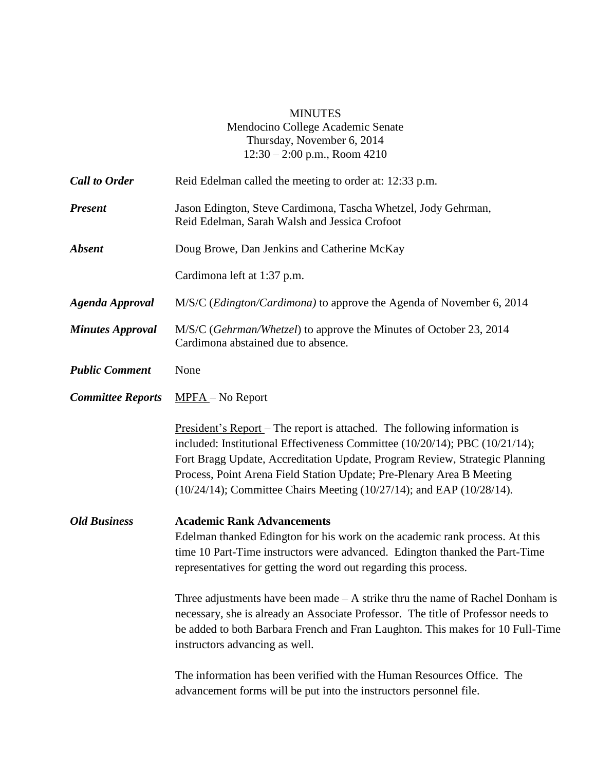# MINUTES

Mendocino College Academic Senate Thursday, November 6, 2014 12:30 – 2:00 p.m., Room 4210

| <b>Call to Order</b>     | Reid Edelman called the meeting to order at: 12:33 p.m.                                                                                                                                                                                                                                                                                                                                                                                                                                                                                                        |
|--------------------------|----------------------------------------------------------------------------------------------------------------------------------------------------------------------------------------------------------------------------------------------------------------------------------------------------------------------------------------------------------------------------------------------------------------------------------------------------------------------------------------------------------------------------------------------------------------|
| <b>Present</b>           | Jason Edington, Steve Cardimona, Tascha Whetzel, Jody Gehrman,<br>Reid Edelman, Sarah Walsh and Jessica Crofoot                                                                                                                                                                                                                                                                                                                                                                                                                                                |
| <b>Absent</b>            | Doug Browe, Dan Jenkins and Catherine McKay                                                                                                                                                                                                                                                                                                                                                                                                                                                                                                                    |
|                          | Cardimona left at 1:37 p.m.                                                                                                                                                                                                                                                                                                                                                                                                                                                                                                                                    |
| <b>Agenda Approval</b>   | M/S/C (Edington/Cardimona) to approve the Agenda of November 6, 2014                                                                                                                                                                                                                                                                                                                                                                                                                                                                                           |
| <b>Minutes Approval</b>  | M/S/C (Gehrman/Whetzel) to approve the Minutes of October 23, 2014<br>Cardimona abstained due to absence.                                                                                                                                                                                                                                                                                                                                                                                                                                                      |
| <b>Public Comment</b>    | None                                                                                                                                                                                                                                                                                                                                                                                                                                                                                                                                                           |
| <b>Committee Reports</b> | $MPFA - No Report$                                                                                                                                                                                                                                                                                                                                                                                                                                                                                                                                             |
|                          | <u>President's Report</u> – The report is attached. The following information is<br>included: Institutional Effectiveness Committee (10/20/14); PBC (10/21/14);<br>Fort Bragg Update, Accreditation Update, Program Review, Strategic Planning<br>Process, Point Arena Field Station Update; Pre-Plenary Area B Meeting<br>(10/24/14); Committee Chairs Meeting (10/27/14); and EAP (10/28/14).                                                                                                                                                                |
| <b>Old Business</b>      | <b>Academic Rank Advancements</b><br>Edelman thanked Edington for his work on the academic rank process. At this<br>time 10 Part-Time instructors were advanced. Edington thanked the Part-Time<br>representatives for getting the word out regarding this process.<br>Three adjustments have been made $-A$ strike thru the name of Rachel Donham is<br>necessary, she is already an Associate Professor. The title of Professor needs to<br>be added to both Barbara French and Fran Laughton. This makes for 10 Full-Time<br>instructors advancing as well. |
|                          | The information has been verified with the Human Resources Office. The<br>advancement forms will be put into the instructors personnel file.                                                                                                                                                                                                                                                                                                                                                                                                                   |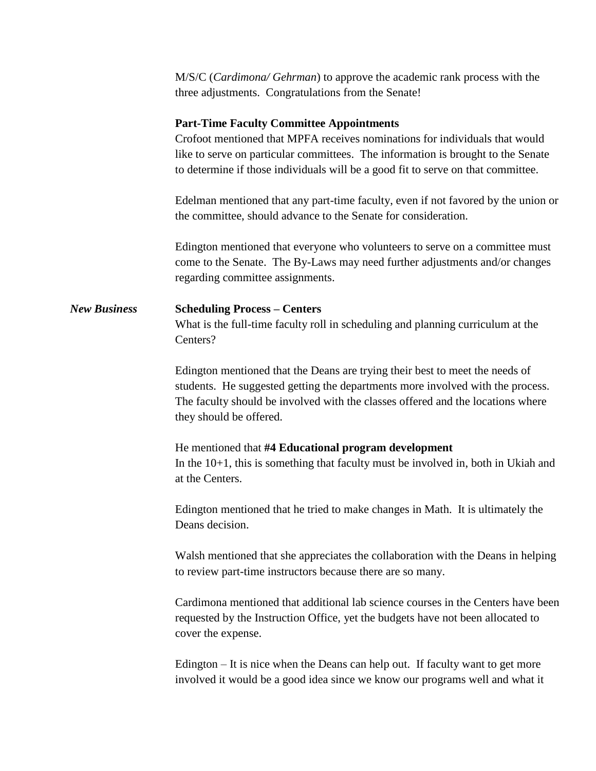M/S/C (*Cardimona/ Gehrman*) to approve the academic rank process with the three adjustments. Congratulations from the Senate!

## **Part-Time Faculty Committee Appointments**

Crofoot mentioned that MPFA receives nominations for individuals that would like to serve on particular committees. The information is brought to the Senate to determine if those individuals will be a good fit to serve on that committee.

Edelman mentioned that any part-time faculty, even if not favored by the union or the committee, should advance to the Senate for consideration.

Edington mentioned that everyone who volunteers to serve on a committee must come to the Senate. The By-Laws may need further adjustments and/or changes regarding committee assignments.

# *New Business* **Scheduling Process – Centers** What is the full-time faculty roll in scheduling and planning curriculum at the Centers?

Edington mentioned that the Deans are trying their best to meet the needs of students. He suggested getting the departments more involved with the process. The faculty should be involved with the classes offered and the locations where they should be offered.

## He mentioned that **#4 Educational program development**

In the 10+1, this is something that faculty must be involved in, both in Ukiah and at the Centers.

Edington mentioned that he tried to make changes in Math. It is ultimately the Deans decision.

Walsh mentioned that she appreciates the collaboration with the Deans in helping to review part-time instructors because there are so many.

Cardimona mentioned that additional lab science courses in the Centers have been requested by the Instruction Office, yet the budgets have not been allocated to cover the expense.

Edington – It is nice when the Deans can help out. If faculty want to get more involved it would be a good idea since we know our programs well and what it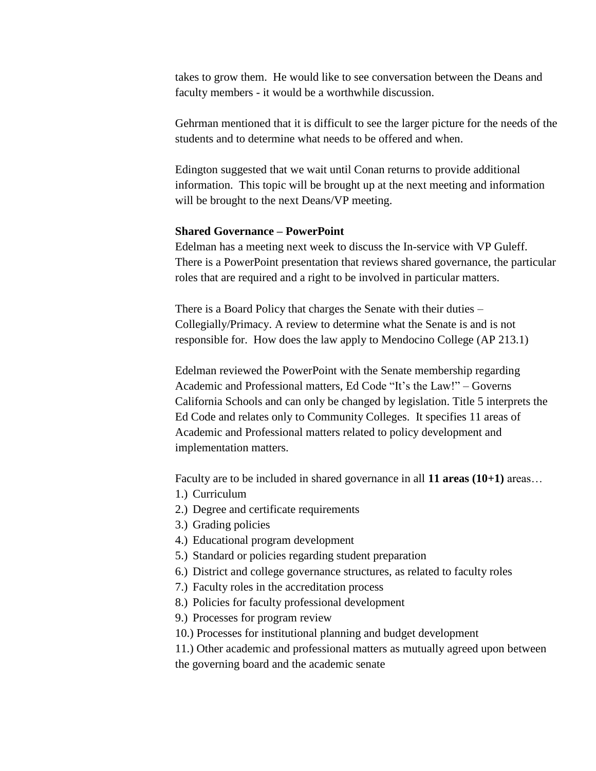takes to grow them. He would like to see conversation between the Deans and faculty members - it would be a worthwhile discussion.

Gehrman mentioned that it is difficult to see the larger picture for the needs of the students and to determine what needs to be offered and when.

Edington suggested that we wait until Conan returns to provide additional information. This topic will be brought up at the next meeting and information will be brought to the next Deans/VP meeting.

## **Shared Governance – PowerPoint**

Edelman has a meeting next week to discuss the In-service with VP Guleff. There is a PowerPoint presentation that reviews shared governance, the particular roles that are required and a right to be involved in particular matters.

There is a Board Policy that charges the Senate with their duties – Collegially/Primacy. A review to determine what the Senate is and is not responsible for. How does the law apply to Mendocino College (AP 213.1)

Edelman reviewed the PowerPoint with the Senate membership regarding Academic and Professional matters, Ed Code "It's the Law!" – Governs California Schools and can only be changed by legislation. Title 5 interprets the Ed Code and relates only to Community Colleges. It specifies 11 areas of Academic and Professional matters related to policy development and implementation matters.

Faculty are to be included in shared governance in all **11 areas (10+1)** areas…

- 1.) Curriculum
- 2.) Degree and certificate requirements
- 3.) Grading policies
- 4.) Educational program development
- 5.) Standard or policies regarding student preparation
- 6.) District and college governance structures, as related to faculty roles
- 7.) Faculty roles in the accreditation process
- 8.) Policies for faculty professional development
- 9.) Processes for program review
- 10.) Processes for institutional planning and budget development

11.) Other academic and professional matters as mutually agreed upon between the governing board and the academic senate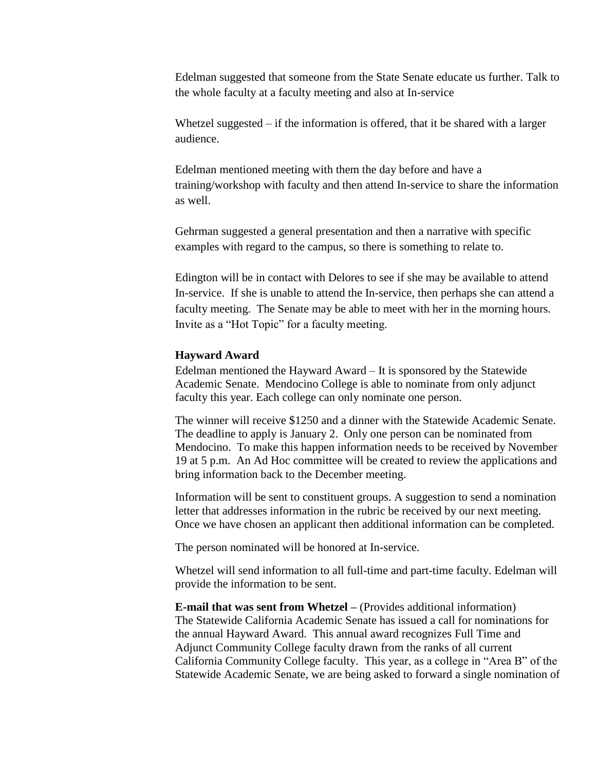Edelman suggested that someone from the State Senate educate us further. Talk to the whole faculty at a faculty meeting and also at In-service

Whetzel suggested – if the information is offered, that it be shared with a larger audience.

Edelman mentioned meeting with them the day before and have a training/workshop with faculty and then attend In-service to share the information as well.

Gehrman suggested a general presentation and then a narrative with specific examples with regard to the campus, so there is something to relate to.

Edington will be in contact with Delores to see if she may be available to attend In-service. If she is unable to attend the In-service, then perhaps she can attend a faculty meeting. The Senate may be able to meet with her in the morning hours. Invite as a "Hot Topic" for a faculty meeting.

#### **Hayward Award**

Edelman mentioned the Hayward Award – It is sponsored by the Statewide Academic Senate. Mendocino College is able to nominate from only adjunct faculty this year. Each college can only nominate one person.

The winner will receive \$1250 and a dinner with the Statewide Academic Senate. The deadline to apply is January 2. Only one person can be nominated from Mendocino. To make this happen information needs to be received by November 19 at 5 p.m. An Ad Hoc committee will be created to review the applications and bring information back to the December meeting.

Information will be sent to constituent groups. A suggestion to send a nomination letter that addresses information in the rubric be received by our next meeting. Once we have chosen an applicant then additional information can be completed.

The person nominated will be honored at In-service.

Whetzel will send information to all full-time and part-time faculty. Edelman will provide the information to be sent.

**E-mail that was sent from Whetzel –** (Provides additional information) The Statewide California Academic Senate has issued a call for nominations for the annual Hayward Award. This annual award recognizes Full Time and Adjunct Community College faculty drawn from the ranks of all current California Community College faculty. This year, as a college in "Area B" of the Statewide Academic Senate, we are being asked to forward a single nomination of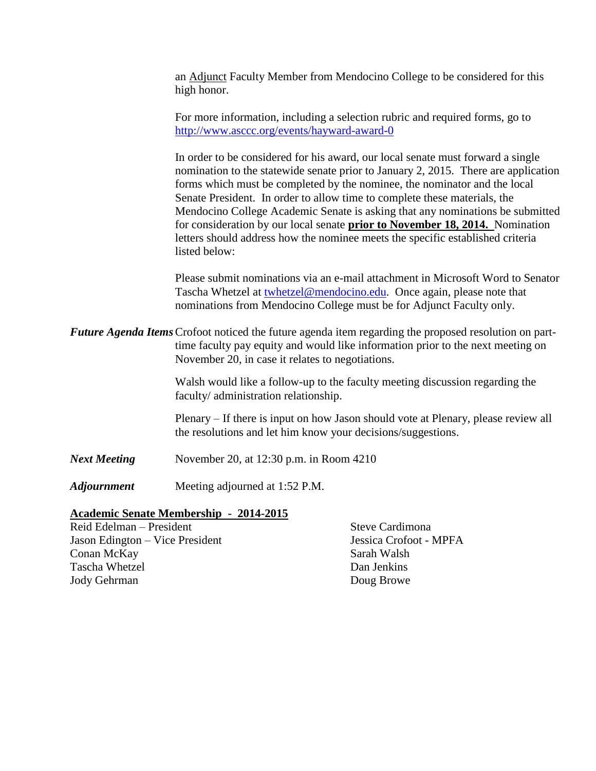an Adjunct Faculty Member from Mendocino College to be considered for this high honor.

For more information, including a selection rubric and required forms, go to <http://www.asccc.org/events/hayward-award-0>

In order to be considered for his award, our local senate must forward a single nomination to the statewide senate prior to January 2, 2015. There are application forms which must be completed by the nominee, the nominator and the local Senate President. In order to allow time to complete these materials, the Mendocino College Academic Senate is asking that any nominations be submitted for consideration by our local senate **prior to November 18, 2014.** Nomination letters should address how the nominee meets the specific established criteria listed below:

Please submit nominations via an e-mail attachment in Microsoft Word to Senator Tascha Whetzel at [twhetzel@mendocino.edu.](mailto:twhetzel@mendocino.edu) Once again, please note that nominations from Mendocino College must be for Adjunct Faculty only.

*Future Agenda Items*Crofoot noticed the future agenda item regarding the proposed resolution on parttime faculty pay equity and would like information prior to the next meeting on November 20, in case it relates to negotiations.

> Walsh would like a follow-up to the faculty meeting discussion regarding the faculty/ administration relationship.

Plenary – If there is input on how Jason should vote at Plenary, please review all the resolutions and let him know your decisions/suggestions.

*Next Meeting* November 20, at 12:30 p.m. in Room 4210

*Adjournment* Meeting adjourned at 1:52 P.M.

#### **Academic Senate Membership - 2014-2015**

Reid Edelman – President Steve Cardimona Jason Edington – Vice President Jessica Crofoot - MPFA Conan McKay Sarah Walsh Tascha Whetzel Dan Jenkins Jody Gehrman Doug Browe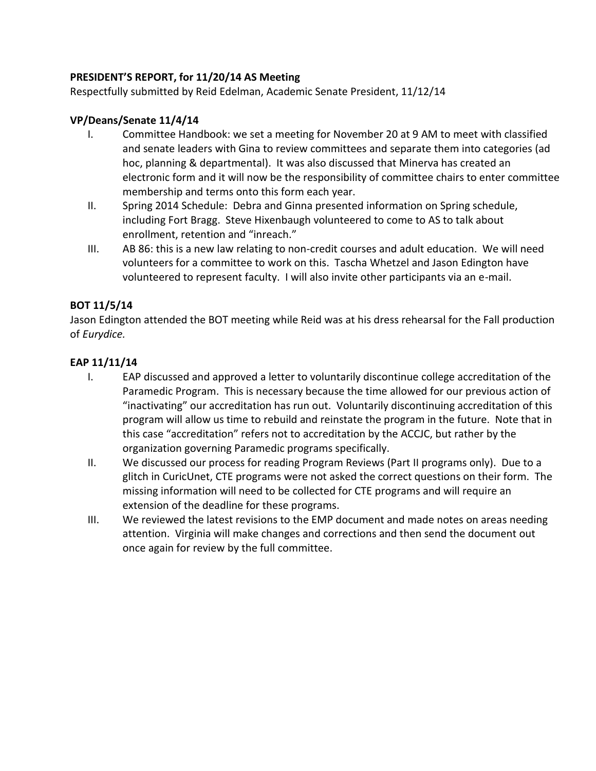# **PRESIDENT'S REPORT, for 11/20/14 AS Meeting**

Respectfully submitted by Reid Edelman, Academic Senate President, 11/12/14

# **VP/Deans/Senate 11/4/14**

- I. Committee Handbook: we set a meeting for November 20 at 9 AM to meet with classified and senate leaders with Gina to review committees and separate them into categories (ad hoc, planning & departmental). It was also discussed that Minerva has created an electronic form and it will now be the responsibility of committee chairs to enter committee membership and terms onto this form each year.
- II. Spring 2014 Schedule: Debra and Ginna presented information on Spring schedule, including Fort Bragg. Steve Hixenbaugh volunteered to come to AS to talk about enrollment, retention and "inreach."
- III. AB 86: this is a new law relating to non-credit courses and adult education. We will need volunteers for a committee to work on this. Tascha Whetzel and Jason Edington have volunteered to represent faculty. I will also invite other participants via an e-mail.

# **BOT 11/5/14**

Jason Edington attended the BOT meeting while Reid was at his dress rehearsal for the Fall production of *Eurydice.*

# **EAP 11/11/14**

- I. EAP discussed and approved a letter to voluntarily discontinue college accreditation of the Paramedic Program. This is necessary because the time allowed for our previous action of "inactivating" our accreditation has run out. Voluntarily discontinuing accreditation of this program will allow us time to rebuild and reinstate the program in the future. Note that in this case "accreditation" refers not to accreditation by the ACCJC, but rather by the organization governing Paramedic programs specifically.
- II. We discussed our process for reading Program Reviews (Part II programs only). Due to a glitch in CuricUnet, CTE programs were not asked the correct questions on their form. The missing information will need to be collected for CTE programs and will require an extension of the deadline for these programs.
- III. We reviewed the latest revisions to the EMP document and made notes on areas needing attention. Virginia will make changes and corrections and then send the document out once again for review by the full committee.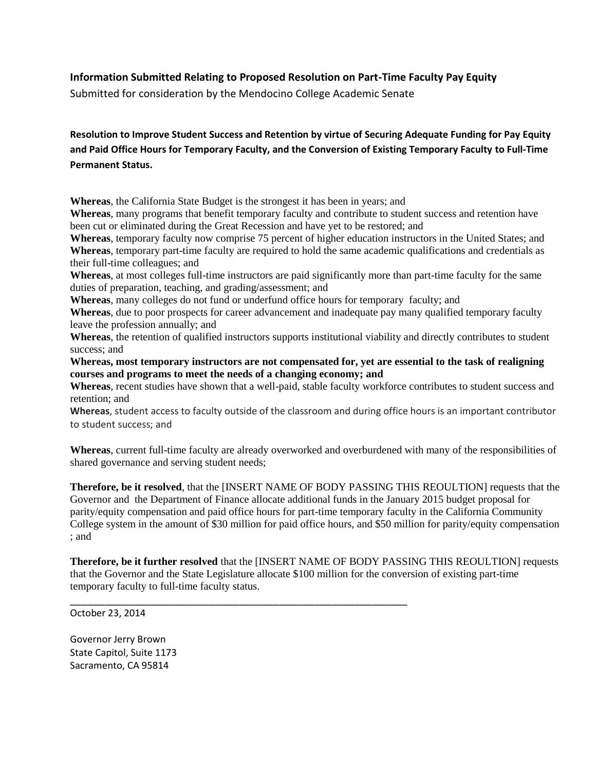# **Information Submitted Relating to Proposed Resolution on Part-Time Faculty Pay Equity**

Submitted for consideration by the Mendocino College Academic Senate

**Resolution to Improve Student Success and Retention by virtue of Securing Adequate Funding for Pay Equity and Paid Office Hours for Temporary Faculty, and the Conversion of Existing Temporary Faculty to Full-Time Permanent Status.**

**Whereas**, the California State Budget is the strongest it has been in years; and

\_\_\_\_\_\_\_\_\_\_\_\_\_\_\_\_\_\_\_\_\_\_\_\_\_\_\_\_\_\_\_\_\_\_\_\_\_\_\_\_\_\_\_\_\_\_\_\_\_\_\_\_\_\_\_\_\_\_

**Whereas**, many programs that benefit temporary faculty and contribute to student success and retention have been cut or eliminated during the Great Recession and have yet to be restored; and

**Whereas**, temporary faculty now comprise 75 percent of higher education instructors in the United States; and **Whereas**, temporary part-time faculty are required to hold the same academic qualifications and credentials as their full-time colleagues; and

**Whereas**, at most colleges full-time instructors are paid significantly more than part-time faculty for the same duties of preparation, teaching, and grading/assessment; and

**Whereas**, many colleges do not fund or underfund office hours for temporary faculty; and

**Whereas**, due to poor prospects for career advancement and inadequate pay many qualified temporary faculty leave the profession annually; and

**Whereas**, the retention of qualified instructors supports institutional viability and directly contributes to student success; and

**Whereas, most temporary instructors are not compensated for, yet are essential to the task of realigning courses and programs to meet the needs of a changing economy; and**

**Whereas**, recent studies have shown that a well-paid, stable faculty workforce contributes to student success and retention; and

**Whereas**, student access to faculty outside of the classroom and during office hours is an important contributor to student success; and

**Whereas**, current full-time faculty are already overworked and overburdened with many of the responsibilities of shared governance and serving student needs;

**Therefore, be it resolved**, that the [INSERT NAME OF BODY PASSING THIS REOULTION] requests that the Governor and the Department of Finance allocate additional funds in the January 2015 budget proposal for parity/equity compensation and paid office hours for part-time temporary faculty in the California Community College system in the amount of \$30 million for paid office hours, and \$50 million for parity/equity compensation ; and

**Therefore, be it further resolved** that the [INSERT NAME OF BODY PASSING THIS REOULTION] requests that the Governor and the State Legislature allocate \$100 million for the conversion of existing part-time temporary faculty to full-time faculty status.

October 23, 2014

Governor Jerry Brown State Capitol, Suite 1173 Sacramento, CA 95814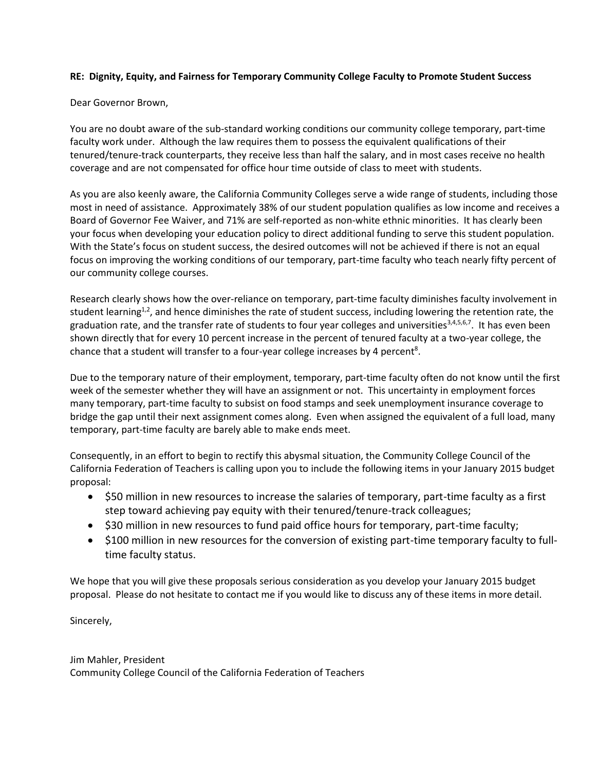#### **RE: Dignity, Equity, and Fairness for Temporary Community College Faculty to Promote Student Success**

#### Dear Governor Brown,

You are no doubt aware of the sub-standard working conditions our community college temporary, part-time faculty work under. Although the law requires them to possess the equivalent qualifications of their tenured/tenure-track counterparts, they receive less than half the salary, and in most cases receive no health coverage and are not compensated for office hour time outside of class to meet with students.

As you are also keenly aware, the California Community Colleges serve a wide range of students, including those most in need of assistance. Approximately 38% of our student population qualifies as low income and receives a Board of Governor Fee Waiver, and 71% are self-reported as non-white ethnic minorities. It has clearly been your focus when developing your education policy to direct additional funding to serve this student population. With the State's focus on student success, the desired outcomes will not be achieved if there is not an equal focus on improving the working conditions of our temporary, part-time faculty who teach nearly fifty percent of our community college courses.

Research clearly shows how the over-reliance on temporary, part-time faculty diminishes faculty involvement in student learning<sup>1,2</sup>, and hence diminishes the rate of student success, including lowering the retention rate, the graduation rate, and the transfer rate of students to four year colleges and universities<sup>3,4,5,6,7</sup>. It has even been shown directly that for every 10 percent increase in the percent of tenured faculty at a two-year college, the chance that a student will transfer to a four-year college increases by 4 percent<sup>8</sup>.

Due to the temporary nature of their employment, temporary, part-time faculty often do not know until the first week of the semester whether they will have an assignment or not. This uncertainty in employment forces many temporary, part-time faculty to subsist on food stamps and seek unemployment insurance coverage to bridge the gap until their next assignment comes along. Even when assigned the equivalent of a full load, many temporary, part-time faculty are barely able to make ends meet.

Consequently, in an effort to begin to rectify this abysmal situation, the Community College Council of the California Federation of Teachers is calling upon you to include the following items in your January 2015 budget proposal:

- \$50 million in new resources to increase the salaries of temporary, part-time faculty as a first step toward achieving pay equity with their tenured/tenure-track colleagues;
- \$30 million in new resources to fund paid office hours for temporary, part-time faculty;
- \$100 million in new resources for the conversion of existing part-time temporary faculty to fulltime faculty status.

We hope that you will give these proposals serious consideration as you develop your January 2015 budget proposal. Please do not hesitate to contact me if you would like to discuss any of these items in more detail.

Sincerely,

Jim Mahler, President Community College Council of the California Federation of Teachers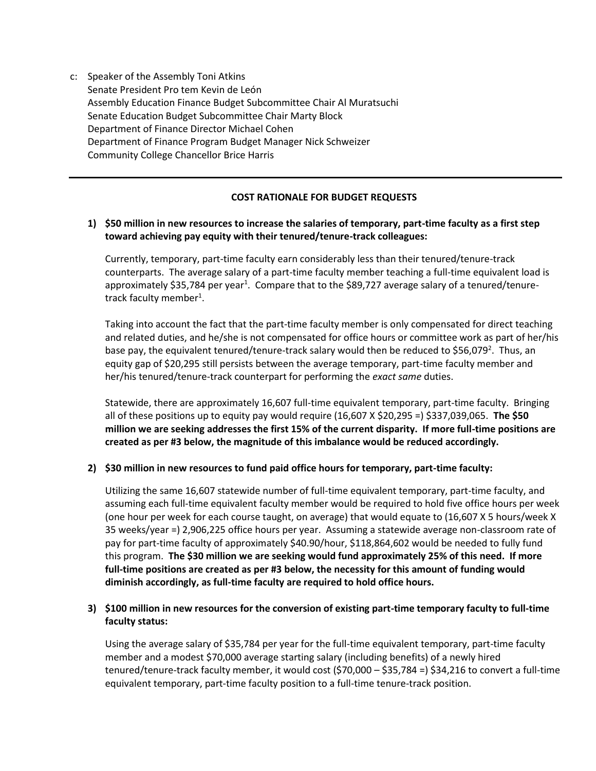c: Speaker of the Assembly Toni Atkins Senate President Pro tem Kevin de León Assembly Education Finance Budget Subcommittee Chair Al Muratsuchi Senate Education Budget Subcommittee Chair Marty Block Department of Finance Director Michael Cohen Department of Finance Program Budget Manager Nick Schweizer Community College Chancellor Brice Harris

## **COST RATIONALE FOR BUDGET REQUESTS**

#### **1) \$50 million in new resources to increase the salaries of temporary, part-time faculty as a first step toward achieving pay equity with their tenured/tenure-track colleagues:**

Currently, temporary, part-time faculty earn considerably less than their tenured/tenure-track counterparts. The average salary of a part-time faculty member teaching a full-time equivalent load is approximately \$35,784 per year<sup>1</sup>. Compare that to the \$89,727 average salary of a tenured/tenuretrack faculty member<sup>1</sup>.

Taking into account the fact that the part-time faculty member is only compensated for direct teaching and related duties, and he/she is not compensated for office hours or committee work as part of her/his base pay, the equivalent tenured/tenure-track salary would then be reduced to \$56,079<sup>2</sup>. Thus, an equity gap of \$20,295 still persists between the average temporary, part-time faculty member and her/his tenured/tenure-track counterpart for performing the *exact same* duties.

Statewide, there are approximately 16,607 full-time equivalent temporary, part-time faculty. Bringing all of these positions up to equity pay would require (16,607 X \$20,295 =) \$337,039,065. **The \$50 million we are seeking addresses the first 15% of the current disparity. If more full-time positions are created as per #3 below, the magnitude of this imbalance would be reduced accordingly.**

#### **2) \$30 million in new resources to fund paid office hours for temporary, part-time faculty:**

Utilizing the same 16,607 statewide number of full-time equivalent temporary, part-time faculty, and assuming each full-time equivalent faculty member would be required to hold five office hours per week (one hour per week for each course taught, on average) that would equate to (16,607 X 5 hours/week X 35 weeks/year =) 2,906,225 office hours per year. Assuming a statewide average non-classroom rate of pay for part-time faculty of approximately \$40.90/hour, \$118,864,602 would be needed to fully fund this program. **The \$30 million we are seeking would fund approximately 25% of this need. If more full-time positions are created as per #3 below, the necessity for this amount of funding would diminish accordingly, as full-time faculty are required to hold office hours.**

#### **3) \$100 million in new resources for the conversion of existing part-time temporary faculty to full-time faculty status:**

Using the average salary of \$35,784 per year for the full-time equivalent temporary, part-time faculty member and a modest \$70,000 average starting salary (including benefits) of a newly hired tenured/tenure-track faculty member, it would cost (\$70,000 – \$35,784 =) \$34,216 to convert a full-time equivalent temporary, part-time faculty position to a full-time tenure-track position.